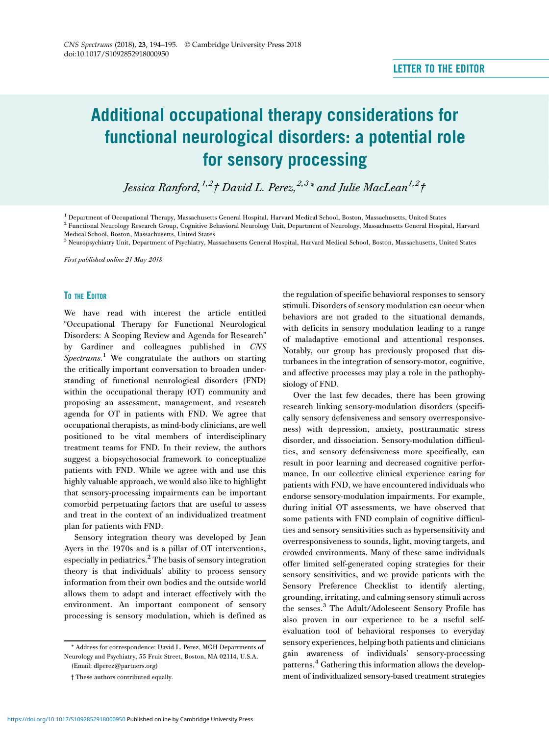# Additional occupational therapy considerations for functional neurological disorders: a potential role for sensory processing

Jessica Ranford,<sup>1,2</sup>† David L. Perez,<sup>2,3\*</sup> and Julie MacLean<sup>1,2</sup>†

<sup>1</sup> Department of Occupational Therapy, Massachusetts General Hospital, Harvard Medical School, Boston, Massachusetts, United States

<sup>3</sup> Neuropsychiatry Unit, Department of Psychiatry, Massachusetts General Hospital, Harvard Medical School, Boston, Massachusetts, United States

First published online 21 May 2018

### TO THE EDITOR

We have read with interest the article entitled "Occupational Therapy for Functional Neurological Disorders: A Scoping Review and Agenda for Research" by Gardiner and colleagues published in CNS Spectrums.<sup>[1](#page-1-0)</sup> We congratulate the authors on starting the critically important conversation to broaden understanding of functional neurological disorders (FND) within the occupational therapy (OT) community and proposing an assessment, management, and research agenda for OT in patients with FND. We agree that occupational therapists, as mind-body clinicians, are well positioned to be vital members of interdisciplinary treatment teams for FND. In their review, the authors suggest a biopsychosocial framework to conceptualize patients with FND. While we agree with and use this highly valuable approach, we would also like to highlight that sensory-processing impairments can be important comorbid perpetuating factors that are useful to assess and treat in the context of an individualized treatment plan for patients with FND.

Sensory integration theory was developed by Jean Ayers in the 1970s and is a pillar of OT interventions, especially in pediatrics.[2](#page-1-0) The basis of sensory integration theory is that individuals' ability to process sensory information from their own bodies and the outside world allows them to adapt and interact effectively with the environment. An important component of sensory processing is sensory modulation, which is defined as

(Email: [dlperez@partners.org\)](mailto:dlperez@partners.org)

the regulation of specific behavioral responses to sensory stimuli. Disorders of sensory modulation can occur when behaviors are not graded to the situational demands, with deficits in sensory modulation leading to a range of maladaptive emotional and attentional responses. Notably, our group has previously proposed that disturbances in the integration of sensory-motor, cognitive, and affective processes may play a role in the pathophysiology of FND.

Over the last few decades, there has been growing research linking sensory-modulation disorders (specifically sensory defensiveness and sensory overresponsiveness) with depression, anxiety, posttraumatic stress disorder, and dissociation. Sensory-modulation difficulties, and sensory defensiveness more specifically, can result in poor learning and decreased cognitive performance. In our collective clinical experience caring for patients with FND, we have encountered individuals who endorse sensory-modulation impairments. For example, during initial OT assessments, we have observed that some patients with FND complain of cognitive difficulties and sensory sensitivities such as hypersensitivity and overresponsiveness to sounds, light, moving targets, and crowded environments. Many of these same individuals offer limited self-generated coping strategies for their sensory sensitivities, and we provide patients with the Sensory Preference Checklist to identify alerting, grounding, irritating, and calming sensory stimuli across the senses.[3](#page-1-0) The Adult/Adolescent Sensory Profile has also proven in our experience to be a useful selfevaluation tool of behavioral responses to everyday sensory experiences, helping both patients and clinicians gain awareness of individuals' sensory-processing patterns.[4](#page-1-0) Gathering this information allows the development of individualized sensory-based treatment strategies

<sup>2</sup> Functional Neurology Research Group, Cognitive Behavioral Neurology Unit, Department of Neurology, Massachusetts General Hospital, Harvard Medical School, Boston, Massachusetts, United States

<sup>\*</sup> Address for correspondence: David L. Perez, MGH Departments of Neurology and Psychiatry, 55 Fruit Street, Boston, MA 02114, U.S.A.

<sup>†</sup> These authors contributed equally.